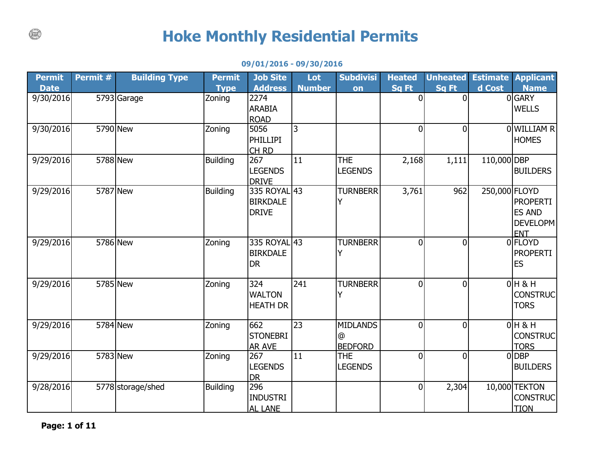## **Hoke Monthly Residential Permits**

## **09/01/2016 - 09/30/2016**

| <b>Permit</b> | Permit # | <b>Building Type</b> | <b>Permit</b>   | <b>Job Site</b>         | Lot           | <b>Subdivisi</b>             | <b>Heated</b>  | <b>Unheated</b> |               | <b>Estimate Applicant</b> |
|---------------|----------|----------------------|-----------------|-------------------------|---------------|------------------------------|----------------|-----------------|---------------|---------------------------|
| <b>Date</b>   |          |                      | <b>Type</b>     | <b>Address</b>          | <b>Number</b> | on                           | <b>Sq Ft</b>   | Sq Ft           | d Cost        | <b>Name</b>               |
| 9/30/2016     |          | 5793 Garage          | Zoning          | 2274                    |               |                              | $\overline{0}$ | $\Omega$        |               | 0GARY                     |
|               |          |                      |                 | <b>ARABIA</b>           |               |                              |                |                 |               | <b>WELLS</b>              |
|               |          |                      |                 | <b>ROAD</b>             |               |                              |                |                 |               |                           |
| 9/30/2016     |          | 5790 New             | Zoning          | 5056                    | 3             |                              | $\overline{0}$ | $\Omega$        |               | 0 WILLIAM R               |
|               |          |                      |                 | <b>PHILLIPI</b>         |               |                              |                |                 |               | <b>HOMES</b>              |
| 9/29/2016     |          | 5788 New             | <b>Building</b> | CH <sub>RD</sub><br>267 | 11            | <b>THE</b>                   |                |                 | 110,000 DBP   |                           |
|               |          |                      |                 | <b>LEGENDS</b>          |               | <b>LEGENDS</b>               | 2,168          | 1,111           |               | <b>BUILDERS</b>           |
|               |          |                      |                 | <b>DRIVE</b>            |               |                              |                |                 |               |                           |
| 9/29/2016     |          | 5787 New             | <b>Building</b> | 335 ROYAL 43            |               | <b>TURNBERR</b>              | 3,761          | 962             | 250,000 FLOYD |                           |
|               |          |                      |                 | <b>BIRKDALE</b>         |               |                              |                |                 |               | <b>PROPERTI</b>           |
|               |          |                      |                 | <b>DRIVE</b>            |               |                              |                |                 |               | <b>ES AND</b>             |
|               |          |                      |                 |                         |               |                              |                |                 |               | DEVELOPM                  |
|               |          |                      |                 |                         |               |                              |                |                 |               | <b>ENT</b>                |
| 9/29/2016     |          | 5786 New             | Zoning          | 335 ROYAL 43            |               | <b>TURNBERR</b>              | $\overline{0}$ | $\Omega$        |               | 0 <b>FLOYD</b>            |
|               |          |                      |                 | <b>BIRKDALE</b>         |               | Y                            |                |                 |               | <b>PROPERTI</b>           |
|               |          |                      |                 | <b>DR</b>               |               |                              |                |                 |               | <b>ES</b>                 |
|               |          |                      |                 |                         |               |                              |                |                 |               |                           |
| 9/29/2016     |          | 5785 New             | Zoning          | 324                     | 241           | <b>TURNBERR</b>              | $\overline{0}$ | $\mathbf{0}$    |               | $0H$ & H                  |
|               |          |                      |                 | <b>WALTON</b>           |               |                              |                |                 |               | <b>CONSTRUC</b>           |
|               |          |                      |                 | <b>HEATH DR</b>         |               |                              |                |                 |               | <b>TORS</b>               |
|               |          |                      |                 | 662                     |               | <b>MIDLANDS</b>              | $\overline{0}$ |                 |               | $0H$ & H                  |
| 9/29/2016     |          | 5784 New             | Zoning          |                         | 23            |                              |                | $\overline{0}$  |               |                           |
|               |          |                      |                 | <b>STONEBRI</b>         |               | @                            |                |                 |               | <b>CONSTRUC</b>           |
| 9/29/2016     |          | 5783 New             | Zoning          | <b>AR AVE</b><br>267    | 11            | <b>BEDFORD</b><br><b>THE</b> | $\overline{0}$ | $\Omega$        |               | <b>TORS</b><br>0DBP       |
|               |          |                      |                 | <b>LEGENDS</b>          |               | <b>LEGENDS</b>               |                |                 |               | <b>BUILDERS</b>           |
|               |          |                      |                 | <b>DR</b>               |               |                              |                |                 |               |                           |
| 9/28/2016     |          | 5778 storage/shed    | <b>Building</b> | 296                     |               |                              | $\mathbf 0$    | 2,304           |               | 10,000 TEKTON             |
|               |          |                      |                 | <b>INDUSTRI</b>         |               |                              |                |                 |               | <b>CONSTRUC</b>           |
|               |          |                      |                 | <b>AL LANE</b>          |               |                              |                |                 |               | <b>TION</b>               |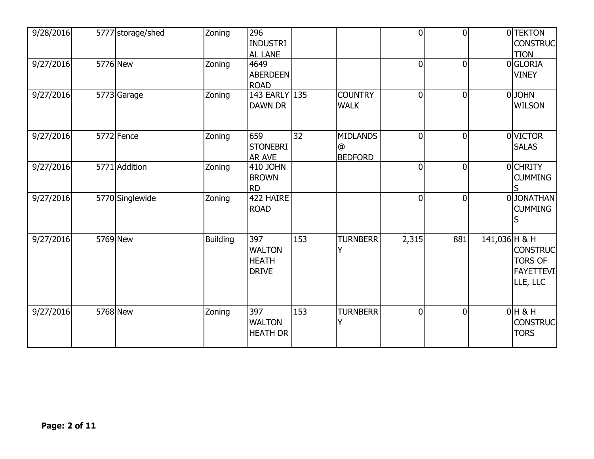| 9/28/2016 | 5777 storage/shed | Zoning          | 296<br><b>INDUSTRI</b><br>AL LANE                    |     |                                        | $\overline{0}$ | $\overline{0}$ |               | 0 TEKTON<br><b>CONSTRUC</b><br><b>TION</b>                        |
|-----------|-------------------|-----------------|------------------------------------------------------|-----|----------------------------------------|----------------|----------------|---------------|-------------------------------------------------------------------|
| 9/27/2016 | 5776 New          | Zoning          | 4649<br><b>ABERDEEN</b><br><b>ROAD</b>               |     |                                        | 0              | $\overline{0}$ |               | 0GLORIA<br><b>VINEY</b>                                           |
| 9/27/2016 | 5773 Garage       | Zoning          | 143 EARLY 135<br><b>DAWN DR</b>                      |     | <b>COUNTRY</b><br><b>WALK</b>          | $\overline{0}$ | $\overline{0}$ |               | 0JOHN<br><b>WILSON</b>                                            |
| 9/27/2016 | 5772 Fence        | Zoning          | 659<br><b>STONEBRI</b><br><b>AR AVE</b>              | 32  | <b>MIDLANDS</b><br>@<br><b>BEDFORD</b> | $\Omega$       | $\overline{0}$ |               | 0 VICTOR<br><b>SALAS</b>                                          |
| 9/27/2016 | 5771 Addition     | Zoning          | 410 JOHN<br><b>BROWN</b><br><b>RD</b>                |     |                                        | 0              | $\overline{0}$ |               | 0CHRITY<br><b>CUMMING</b>                                         |
| 9/27/2016 | 5770 Singlewide   | Zoning          | 422 HAIRE<br><b>ROAD</b>                             |     |                                        | $\overline{0}$ | $\overline{0}$ |               | 0JONATHAN<br><b>CUMMING</b>                                       |
| 9/27/2016 | 5769 New          | <b>Building</b> | 397<br><b>WALTON</b><br><b>HEATH</b><br><b>DRIVE</b> | 153 | <b>TURNBERR</b><br>Y                   | 2,315          | 881            | 141,036 H & H | <b>CONSTRUC</b><br><b>TORS OF</b><br><b>FAYETTEVI</b><br>LLE, LLC |
| 9/27/2016 | 5768 New          | Zoning          | 397<br><b>WALTON</b><br><b>HEATH DR</b>              | 153 | <b>TURNBERR</b>                        | $\overline{0}$ | $\overline{0}$ |               | $0H$ & H<br><b>CONSTRUC</b><br><b>TORS</b>                        |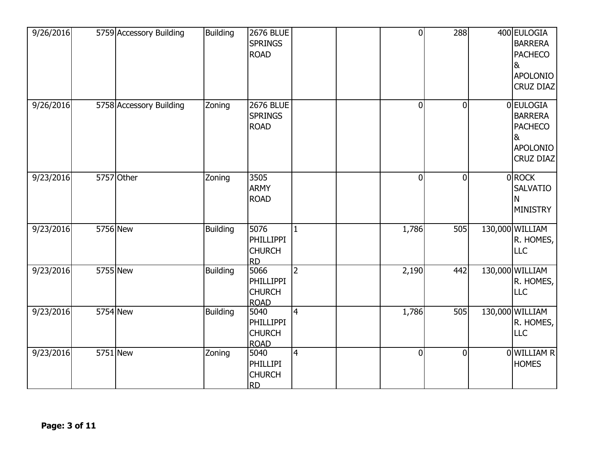| 9/26/2016 | 5759 Accessory Building | <b>Building</b> | <b>2676 BLUE</b><br><b>SPRINGS</b><br><b>ROAD</b>        |                | $\overline{0}$ | 288            | 400 EULOGIA<br><b>BARRERA</b><br><b>PACHECO</b><br>&<br>APOLONIO<br>CRUZ DIAZ            |
|-----------|-------------------------|-----------------|----------------------------------------------------------|----------------|----------------|----------------|------------------------------------------------------------------------------------------|
| 9/26/2016 | 5758 Accessory Building | Zoning          | <b>2676 BLUE</b><br><b>SPRINGS</b><br><b>ROAD</b>        |                | $\mathbf 0$    | $\overline{0}$ | 0 EULOGIA<br><b>BARRERA</b><br><b>PACHECO</b><br>8 <sub>k</sub><br>APOLONIO<br>CRUZ DIAZ |
| 9/23/2016 | 5757 Other              | Zoning          | 3505<br><b>ARMY</b><br><b>ROAD</b>                       |                | $\overline{0}$ | $\Omega$       | 0ROCK<br><b>SALVATIO</b><br>N<br><b>MINISTRY</b>                                         |
| 9/23/2016 | <b>5756 New</b>         | <b>Building</b> | 5076<br><b>PHILLIPPI</b><br><b>CHURCH</b><br><b>RD</b>   | $\mathbf{1}$   | 1,786          | 505            | 130,000 WILLIAM<br>R. HOMES,<br><b>LLC</b>                                               |
| 9/23/2016 | 5755 New                | <b>Building</b> | 5066<br>PHILLIPPI<br><b>CHURCH</b><br><b>ROAD</b>        | $\overline{2}$ | 2,190          | 442            | 130,000 WILLIAM<br>R. HOMES,<br><b>LLC</b>                                               |
| 9/23/2016 | 5754 New                | <b>Building</b> | 5040<br><b>PHILLIPPI</b><br><b>CHURCH</b><br><b>ROAD</b> | $\overline{4}$ | 1,786          | 505            | 130,000 WILLIAM<br>R. HOMES,<br><b>LLC</b>                                               |
| 9/23/2016 | 5751 New                | Zoning          | 5040<br><b>PHILLIPI</b><br><b>CHURCH</b><br><b>RD</b>    | $\overline{4}$ | $\overline{0}$ | $\Omega$       | 0 WILLIAM R<br><b>HOMES</b>                                                              |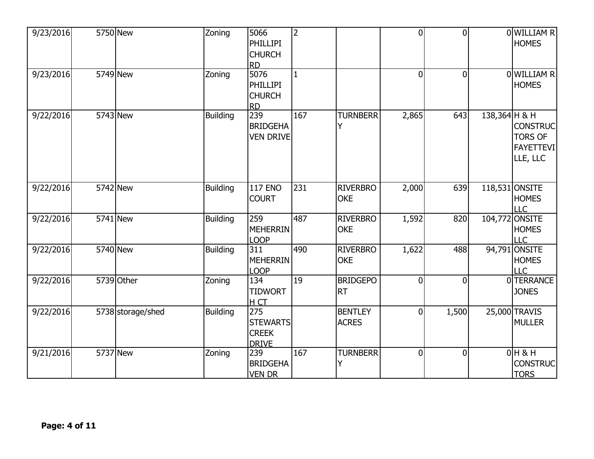| 9/23/2016 | 5750 New          | Zoning          | 5066<br>PHILLIPI<br><b>CHURCH</b><br><b>RD</b>         | $\overline{2}$  |                                | $\overline{0}$ | $\overline{0}$ |               | 0 WILLIAM R<br><b>HOMES</b>                                       |
|-----------|-------------------|-----------------|--------------------------------------------------------|-----------------|--------------------------------|----------------|----------------|---------------|-------------------------------------------------------------------|
| 9/23/2016 | 5749 New          | Zoning          | 5076<br><b>PHILLIPI</b><br><b>CHURCH</b><br><b>RD</b>  | $\mathbf{1}$    |                                | $\overline{0}$ | $\overline{0}$ |               | 0 WILLIAM R<br><b>HOMES</b>                                       |
| 9/22/2016 | 5743 New          | <b>Building</b> | 239<br><b>BRIDGEHA</b><br><b>VEN DRIVE</b>             | 167             | <b>TURNBERR</b><br>Y           | 2,865          | 643            | 138,364 H & H | <b>CONSTRUC</b><br><b>TORS OF</b><br><b>FAYETTEVI</b><br>LLE, LLC |
| 9/22/2016 | 5742 New          | <b>Building</b> | <b>117 ENO</b><br><b>COURT</b>                         | 231             | <b>RIVERBRO</b><br><b>OKE</b>  | 2,000          | 639            |               | 118,531 ONSITE<br><b>HOMES</b><br><b>LLC</b>                      |
| 9/22/2016 | 5741 New          | <b>Building</b> | 259<br><b>MEHERRIN</b><br><b>LOOP</b>                  | 487             | <b>RIVERBRO</b><br><b>OKE</b>  | 1,592          | 820            |               | 104,772 ONSITE<br><b>HOMES</b><br><b>LLC</b>                      |
| 9/22/2016 | 5740 New          | <b>Building</b> | 311<br><b>MEHERRIN</b><br><b>LOOP</b>                  | 490             | <b>RIVERBRO</b><br><b>OKE</b>  | 1,622          | 488            |               | 94,791 ONSITE<br><b>HOMES</b><br><b>LLC</b>                       |
| 9/22/2016 | 5739 Other        | Zoning          | 134<br><b>TIDWORT</b><br>H CT                          | $\overline{19}$ | <b>BRIDGEPO</b><br><b>RT</b>   | $\overline{0}$ | $\mathbf 0$    |               | 0 TERRANCE<br><b>JONES</b>                                        |
| 9/22/2016 | 5738 storage/shed | <b>Building</b> | 275<br><b>STEWARTS</b><br><b>CREEK</b><br><b>DRIVE</b> |                 | <b>BENTLEY</b><br><b>ACRES</b> | $\overline{0}$ | 1,500          |               | 25,000 TRAVIS<br><b>MULLER</b>                                    |
| 9/21/2016 | 5737 New          | Zoning          | 239<br><b>BRIDGEHA</b><br><b>VEN DR</b>                | 167             | <b>TURNBERR</b><br>Ý           | $\mathbf 0$    | $\mathbf 0$    |               | $0H$ & H<br><b>CONSTRUC</b><br><b>TORS</b>                        |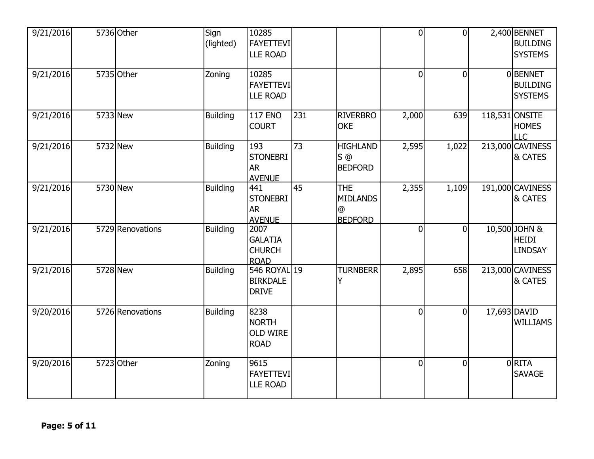| 9/21/2016 | 5736 Other       | Sign<br>(lighted) | 10285<br><b>FAYETTEVI</b><br><b>LLE ROAD</b>           |     |                                                             | $\mathbf 0$    | $\mathbf{0}$   | 2,400 BENNET<br><b>BUILDING</b><br><b>SYSTEMS</b> |
|-----------|------------------|-------------------|--------------------------------------------------------|-----|-------------------------------------------------------------|----------------|----------------|---------------------------------------------------|
| 9/21/2016 | 5735 Other       | Zoning            | 10285<br>FAYETTEVI<br><b>LLE ROAD</b>                  |     |                                                             | $\overline{0}$ | $\Omega$       | 0BENNET<br><b>BUILDING</b><br><b>SYSTEMS</b>      |
| 9/21/2016 | 5733 New         | <b>Building</b>   | <b>117 ENO</b><br><b>COURT</b>                         | 231 | <b>RIVERBRO</b><br><b>OKE</b>                               | 2,000          | 639            | 118,531 ONSITE<br><b>HOMES</b><br>LLC             |
| 9/21/2016 | 5732 New         | <b>Building</b>   | 193<br><b>STONEBRI</b><br><b>AR</b><br><b>AVENUE</b>   | 73  | <b>HIGHLAND</b><br>$S$ @<br><b>BEDFORD</b>                  | 2,595          | 1,022          | 213,000 CAVINESS<br>& CATES                       |
| 9/21/2016 | 5730 New         | <b>Building</b>   | 441<br><b>STONEBRI</b><br><b>AR</b><br><b>AVENUE</b>   | 45  | <b>THE</b><br><b>MIDLANDS</b><br>$\omega$<br><b>BEDFORD</b> | 2,355          | 1,109          | 191,000 CAVINESS<br>& CATES                       |
| 9/21/2016 | 5729 Renovations | <b>Building</b>   | 2007<br><b>GALATIA</b><br><b>CHURCH</b><br><b>ROAD</b> |     |                                                             | $\overline{0}$ | $\overline{0}$ | 10,500 JOHN &<br><b>HEIDI</b><br><b>LINDSAY</b>   |
| 9/21/2016 | 5728 New         | <b>Building</b>   | 546 ROYAL 19<br><b>BIRKDALE</b><br><b>DRIVE</b>        |     | <b>TURNBERR</b>                                             | 2,895          | 658            | 213,000 CAVINESS<br>& CATES                       |
| 9/20/2016 | 5726 Renovations | <b>Building</b>   | 8238<br><b>NORTH</b><br><b>OLD WIRE</b><br><b>ROAD</b> |     |                                                             | $\overline{0}$ | $\theta$       | 17,693 DAVID<br><b>WILLIAMS</b>                   |
| 9/20/2016 | 5723 Other       | Zoning            | 9615<br><b>FAYETTEVI</b><br><b>LLE ROAD</b>            |     |                                                             | $\overline{0}$ | $\Omega$       | 0RITA<br><b>SAVAGE</b>                            |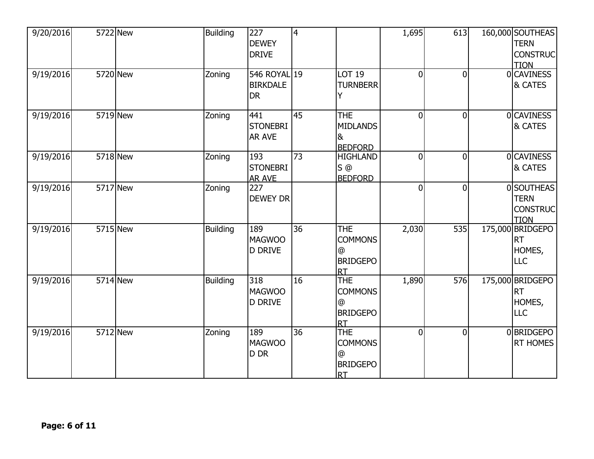| 9/20/2016 | 5722 New        | <b>Building</b> | 227<br><b>DEWEY</b><br><b>DRIVE</b>          | 4   |                                                                    | 1,695          | 613            | 160,000 SOUTHEAS<br><b>TERN</b><br><b>TION</b>         | <b>CONSTRUC</b> |
|-----------|-----------------|-----------------|----------------------------------------------|-----|--------------------------------------------------------------------|----------------|----------------|--------------------------------------------------------|-----------------|
| 9/19/2016 | 5720 New        | Zoning          | 546 ROYAL 19<br><b>BIRKDALE</b><br><b>DR</b> |     | <b>LOT 19</b><br><b>TURNBERR</b>                                   | $\overline{0}$ | $\overline{0}$ | 0 CAVINESS<br>& CATES                                  |                 |
| 9/19/2016 | <b>5719</b> New | Zoning          | 441<br><b>STONEBRI</b><br><b>AR AVE</b>      | 145 | <b>THE</b><br><b>MIDLANDS</b><br>l&<br><b>BEDFORD</b>              | 0l             | $\overline{0}$ | 0CAVINESS<br>& CATES                                   |                 |
| 9/19/2016 | 5718 New        | Zoning          | 193<br><b>STONEBRI</b><br><b>AR AVE</b>      | 73  | <b>HIGHLAND</b><br>$S$ <sup><math>@</math></sup><br><b>BEDFORD</b> | $\overline{0}$ | $\overline{0}$ | 0CAVINESS<br>& CATES                                   |                 |
| 9/19/2016 | 5717 New        | Zoning          | 227<br><b>DEWEY DR</b>                       |     |                                                                    | 0l             | $\overline{0}$ | 0 SOUTHEAS<br><b>TERN</b><br><b>TION</b>               | <b>CONSTRUC</b> |
| 9/19/2016 | 5715 New        | <b>Building</b> | 189<br><b>MAGWOO</b><br><b>D DRIVE</b>       | 36  | <b>THE</b><br><b>COMMONS</b><br>@<br><b>BRIDGEPO</b><br>IRT        | 2,030          | 535            | 175,000 BRIDGEPO<br><b>IRT</b><br>HOMES,<br><b>LLC</b> |                 |
| 9/19/2016 | 5714 New        | <b>Building</b> | 318<br><b>MAGWOO</b><br><b>D DRIVE</b>       | 16  | <b>THE</b><br><b>COMMONS</b><br>⊚<br><b>BRIDGEPO</b><br>Irt        | 1,890          | 576            | 175,000 BRIDGEPO<br><b>RT</b><br>HOMES,<br><b>LLC</b>  |                 |
| 9/19/2016 | 5712 New        | Zoning          | 189<br><b>MAGWOO</b><br>D DR                 | 36  | <b>THE</b><br><b>COMMONS</b><br>@<br><b>BRIDGEPO</b><br><b>IRT</b> | $\overline{0}$ | $\overline{0}$ | 0BRIDGEPO                                              | <b>RT HOMES</b> |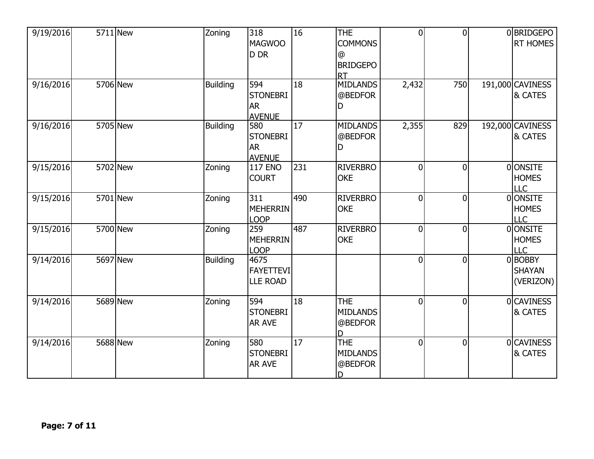| 9/19/2016 | 5711 New | Zoning          | 318<br><b>MAGWOO</b><br>D DR                         | 16  | <b>THE</b><br><b>COMMONS</b><br>@<br><b>BRIDGEPO</b><br><b>RT</b> | $\overline{0}$ | $\Omega$       | 0BRIDGEPO<br><b>RT HOMES</b>                 |
|-----------|----------|-----------------|------------------------------------------------------|-----|-------------------------------------------------------------------|----------------|----------------|----------------------------------------------|
| 9/16/2016 | 5706 New | <b>Building</b> | 594<br><b>STONEBRI</b><br><b>AR</b><br><b>AVENUE</b> | 18  | <b>MIDLANDS</b><br>@BEDFOR<br>D                                   | 2,432          | 750            | 191,000 CAVINESS<br>& CATES                  |
| 9/16/2016 | 5705 New | <b>Building</b> | 580<br><b>STONEBRI</b><br><b>AR</b><br><b>AVENUE</b> | 17  | <b>MIDLANDS</b><br>@BEDFOR<br>D                                   | 2,355          | 829            | 192,000 CAVINESS<br><b>&amp; CATES</b>       |
| 9/15/2016 | 5702 New | Zoning          | <b>117 ENO</b><br><b>COURT</b>                       | 231 | <b>RIVERBRO</b><br><b>OKE</b>                                     | $\overline{0}$ | $\overline{0}$ | 0 ONSITE<br><b>HOMES</b><br>LLC              |
| 9/15/2016 | 5701 New | Zoning          | 311<br><b>MEHERRIN</b><br><b>LOOP</b>                | 490 | <b>RIVERBRO</b><br><b>OKE</b>                                     | $\overline{0}$ | $\Omega$       | <b>OONSITE</b><br><b>HOMES</b><br><b>LLC</b> |
| 9/15/2016 | 5700 New | Zoning          | 259<br><b>MEHERRIN</b><br><b>LOOP</b>                | 487 | <b>RIVERBRO</b><br><b>OKE</b>                                     | $\overline{0}$ | $\Omega$       | 0 ONSITE<br><b>HOMES</b><br><b>LLC</b>       |
| 9/14/2016 | 5697 New | <b>Building</b> | 4675<br><b>FAYETTEVI</b><br><b>LLE ROAD</b>          |     |                                                                   | $\overline{0}$ | $\overline{0}$ | 0BOBBY<br><b>SHAYAN</b><br>(VERIZON)         |
| 9/14/2016 | 5689 New | Zoning          | 594<br><b>STONEBRI</b><br><b>AR AVE</b>              | 18  | <b>THE</b><br><b>MIDLANDS</b><br>@BEDFOR                          | $\overline{0}$ | $\Omega$       | <b>OCAVINESS</b><br>& CATES                  |
| 9/14/2016 | 5688 New | Zoning          | 580<br><b>STONEBRI</b><br><b>AR AVE</b>              | 17  | <b>THE</b><br><b>MIDLANDS</b><br>@BEDFOR<br>D                     | $\overline{0}$ | $\Omega$       | 0CAVINESS<br>& CATES                         |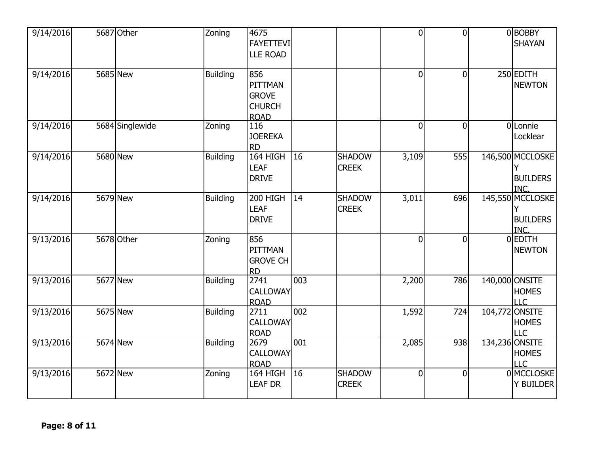| 9/14/2016 | 5687 Other      | Zoning          | 4675<br><b>FAYETTEVI</b><br><b>LLE ROAD</b>                    |     |                               | $\overline{0}$ | $\Omega$       |         | 0BOBBY<br><b>SHAYAN</b>                           |
|-----------|-----------------|-----------------|----------------------------------------------------------------|-----|-------------------------------|----------------|----------------|---------|---------------------------------------------------|
| 9/14/2016 | 5685 New        | <b>Building</b> | 856<br>PITTMAN<br><b>GROVE</b><br><b>CHURCH</b><br><b>ROAD</b> |     |                               | $\overline{0}$ | $\overline{0}$ |         | 250 EDITH<br><b>NEWTON</b>                        |
| 9/14/2016 | 5684 Singlewide | Zoning          | 116<br><b>JOEREKA</b><br><b>RD</b>                             |     |                               | $\overline{0}$ | $\mathbf 0$    |         | 0Lonnie<br>Locklear                               |
| 9/14/2016 | <b>5680 New</b> | <b>Building</b> | 164 HIGH<br><b>LEAF</b><br><b>DRIVE</b>                        | 16  | <b>SHADOW</b><br><b>CREEK</b> | 3,109          | 555            |         | 146,500 MCCLOSKE<br><b>BUILDERS</b><br><b>INC</b> |
| 9/14/2016 | 5679 New        | Building        | 200 HIGH<br><b>LEAF</b><br><b>DRIVE</b>                        | 14  | <b>SHADOW</b><br><b>CREEK</b> | 3,011          | 696            |         | 145,550 MCCLOSKE<br><b>BUILDERS</b><br>INC.       |
| 9/13/2016 | 5678 Other      | Zoning          | 856<br>PITTMAN<br><b>GROVE CH</b><br><b>RD</b>                 |     |                               | $\overline{0}$ | $\overline{0}$ |         | 0EDITH<br><b>NEWTON</b>                           |
| 9/13/2016 | 5677 New        | <b>Building</b> | 2741<br>CALLOWAY<br><b>ROAD</b>                                | 003 |                               | 2,200          | 786            |         | 140,000 ONSITE<br><b>HOMES</b><br><b>LLC</b>      |
| 9/13/2016 | 5675 New        | <b>Building</b> | 2711<br><b>CALLOWAY</b><br><b>ROAD</b>                         | 002 |                               | 1,592          | 724            | 104,772 | ONSITE<br><b>HOMES</b><br>LLC                     |
| 9/13/2016 | 5674 New        | <b>Building</b> | 2679<br><b>CALLOWAY</b><br><b>ROAD</b>                         | 001 |                               | 2,085          | 938            |         | 134,236 ONSITE<br><b>HOMES</b><br>LLC             |
| 9/13/2016 | 5672 New        | Zoning          | 164 HIGH<br><b>LEAF DR</b>                                     | 16  | <b>SHADOW</b><br><b>CREEK</b> | $\overline{0}$ | $\overline{0}$ |         | 0 MCCLOSKE<br>Y BUILDER                           |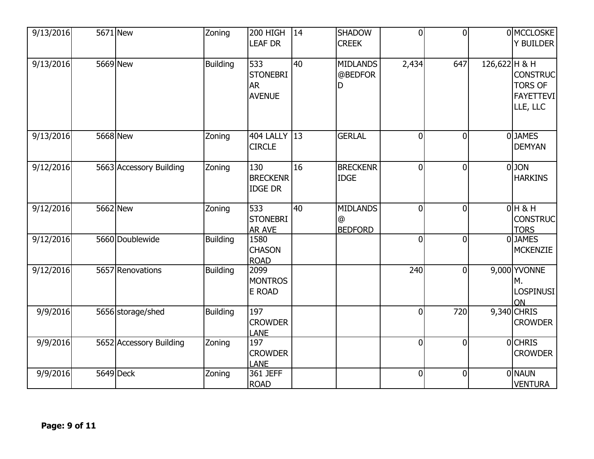| 9/13/2016 | 5671 New                | Zoning          | 200 HIGH<br><b>LEAF DR</b>                           | 14 | <b>SHADOW</b><br><b>CREEK</b>          | $\overline{0}$ | $\Omega$       |               | 0 MCCLOSKE<br><b>Y BUILDER</b>                                    |
|-----------|-------------------------|-----------------|------------------------------------------------------|----|----------------------------------------|----------------|----------------|---------------|-------------------------------------------------------------------|
| 9/13/2016 | 5669 New                | <b>Building</b> | 533<br><b>STONEBRI</b><br><b>AR</b><br><b>AVENUE</b> | 40 | <b>MIDLANDS</b><br>@BEDFOR<br>D        | 2,434          | 647            | 126,622 H & H | <b>CONSTRUC</b><br><b>TORS OF</b><br><b>FAYETTEVI</b><br>LLE, LLC |
| 9/13/2016 | 5668 New                | Zoning          | 404 LALLY 13<br><b>CIRCLE</b>                        |    | <b>GERLAL</b>                          | $\overline{0}$ | $\Omega$       |               | 0JAMES<br><b>DEMYAN</b>                                           |
| 9/12/2016 | 5663 Accessory Building | Zoning          | 130<br><b>BRECKENR</b><br><b>IDGE DR</b>             | 16 | <b>BRECKENR</b><br><b>IDGE</b>         | $\overline{0}$ | $\mathbf{0}$   |               | 0JON<br><b>HARKINS</b>                                            |
| 9/12/2016 | 5662 New                | Zoning          | 533<br><b>STONEBRI</b><br><b>AR AVE</b>              | 40 | <b>MIDLANDS</b><br>@<br><b>BEDFORD</b> | $\overline{0}$ | $\Omega$       |               | $0H$ & H<br><b>CONSTRUC</b><br><b>TORS</b>                        |
| 9/12/2016 | 5660 Doublewide         | <b>Building</b> | 1580<br><b>CHASON</b><br><b>ROAD</b>                 |    |                                        | $\overline{0}$ | $\overline{0}$ |               | 0JAMES<br><b>MCKENZIE</b>                                         |
| 9/12/2016 | 5657 Renovations        | <b>Building</b> | 2099<br><b>MONTROS</b><br>E ROAD                     |    |                                        | 240            | $\overline{0}$ |               | 9,000 YVONNE<br>М.<br>LOSPINUSI<br>ON                             |
| 9/9/2016  | 5656 storage/shed       | <b>Building</b> | 197<br><b>CROWDER</b><br><b>LANE</b>                 |    |                                        | $\overline{0}$ | 720            |               | 9,340 CHRIS<br><b>CROWDER</b>                                     |
| 9/9/2016  | 5652 Accessory Building | Zoning          | 197<br><b>CROWDER</b><br>LANE                        |    |                                        | $\overline{0}$ | $\Omega$       |               | <b>OCHRIS</b><br><b>CROWDER</b>                                   |
| 9/9/2016  | 5649 Deck               | Zoning          | 361 JEFF<br><b>ROAD</b>                              |    |                                        | $\mathbf 0$    | $\overline{0}$ |               | <b>ONAUN</b><br><b>VENTURA</b>                                    |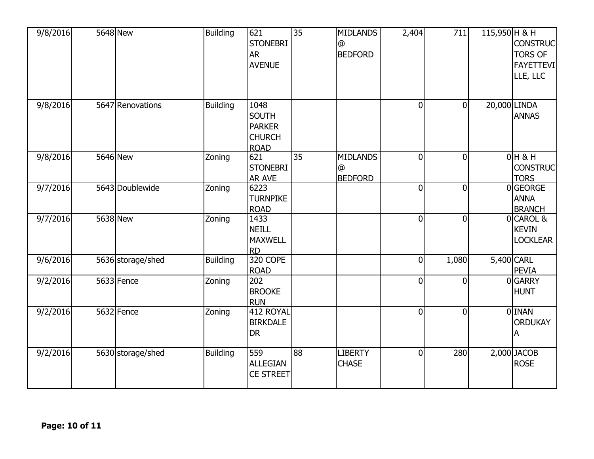| 9/8/2016 | 5648 New          | <b>Building</b> | 621<br><b>STONEBRI</b><br><b>AR</b><br><b>AVENUE</b>                  | 35 | <b>MIDLANDS</b><br>@<br><b>BEDFORD</b> | 2,404          | 711            | 115,950 H & H | <b>CONSTRUC</b><br><b>TORS OF</b><br><b>FAYETTEVI</b><br>LLE, LLC |
|----------|-------------------|-----------------|-----------------------------------------------------------------------|----|----------------------------------------|----------------|----------------|---------------|-------------------------------------------------------------------|
| 9/8/2016 | 5647 Renovations  | <b>Building</b> | 1048<br><b>SOUTH</b><br><b>PARKER</b><br><b>CHURCH</b><br><b>ROAD</b> |    |                                        | $\overline{0}$ | $\overline{0}$ |               | 20,000 LINDA<br><b>ANNAS</b>                                      |
| 9/8/2016 | 5646 New          | Zoning          | 621<br><b>STONEBRI</b><br><b>AR AVE</b>                               | 35 | <b>MIDLANDS</b><br>@<br><b>BEDFORD</b> | $\overline{0}$ | $\overline{0}$ |               | $0H$ & H<br><b>CONSTRUC</b><br><b>TORS</b>                        |
| 9/7/2016 | 5643 Doublewide   | Zoning          | 6223<br><b>TURNPIKE</b><br><b>ROAD</b>                                |    |                                        | $\overline{0}$ | $\Omega$       |               | 0GEORGE<br><b>ANNA</b><br><b>BRANCH</b>                           |
| 9/7/2016 | 5638 New          | Zoning          | 1433<br><b>NEILL</b><br><b>MAXWELL</b><br><b>RD</b>                   |    |                                        | $\overline{0}$ | $\mathbf{0}$   |               | 0 CAROL &<br><b>KEVIN</b><br><b>LOCKLEAR</b>                      |
| 9/6/2016 | 5636 storage/shed | <b>Building</b> | 320 COPE<br><b>ROAD</b>                                               |    |                                        | $\mathbf 0$    | 1,080          |               | 5,400 CARL<br><b>PEVIA</b>                                        |
| 9/2/2016 | 5633 Fence        | Zoning          | 202<br><b>BROOKE</b><br><b>RUN</b>                                    |    |                                        | $\mathbf 0$    | $\Omega$       |               | 0GARRY<br><b>HUNT</b>                                             |
| 9/2/2016 | 5632 Fence        | Zoning          | 412 ROYAL<br><b>BIRKDALE</b><br><b>DR</b>                             |    |                                        | $\overline{0}$ | $\overline{0}$ |               | 0 INAN<br><b>ORDUKAY</b><br>А                                     |
| 9/2/2016 | 5630 storage/shed | <b>Building</b> | 559<br><b>ALLEGIAN</b><br><b>CE STREET</b>                            | 88 | <b>LIBERTY</b><br><b>CHASE</b>         | $\overline{0}$ | 280            |               | $2,000$ JACOB<br><b>ROSE</b>                                      |